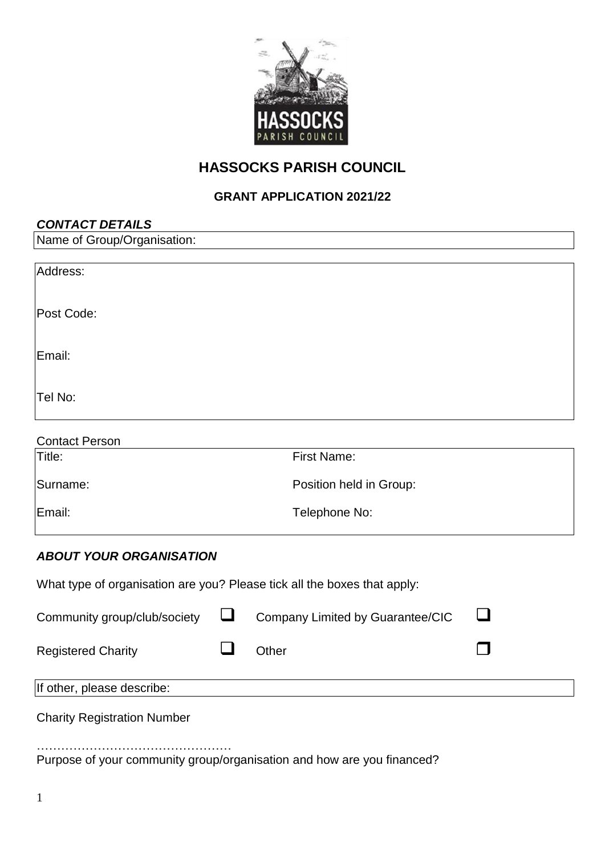

# **HASSOCKS PARISH COUNCIL**

# **GRANT APPLICATION 2021/22**

| <b>CONTACT DETAILS</b>      |  |
|-----------------------------|--|
| Name of Group/Organisation: |  |
|                             |  |
| Address:                    |  |
|                             |  |
| Post Code:                  |  |
|                             |  |
| Email:                      |  |
|                             |  |
|                             |  |
| Tel No:                     |  |
|                             |  |
| Contact Person              |  |

| Contact Person |                         |
|----------------|-------------------------|
| Title:         | First Name:             |
| Surname:       | Position held in Group: |
| Email:         | Telephone No:           |

## *ABOUT YOUR ORGANISATION*

| What type of organisation are you? Please tick all the boxes that apply: |  |                                  |  |
|--------------------------------------------------------------------------|--|----------------------------------|--|
| Community group/club/society $\Box$                                      |  | Company Limited by Guarantee/CIC |  |
| <b>Registered Charity</b>                                                |  | Other                            |  |
| If other, please describe:                                               |  |                                  |  |

Charity Registration Number

………………………………………… Purpose of your community group/organisation and how are you financed?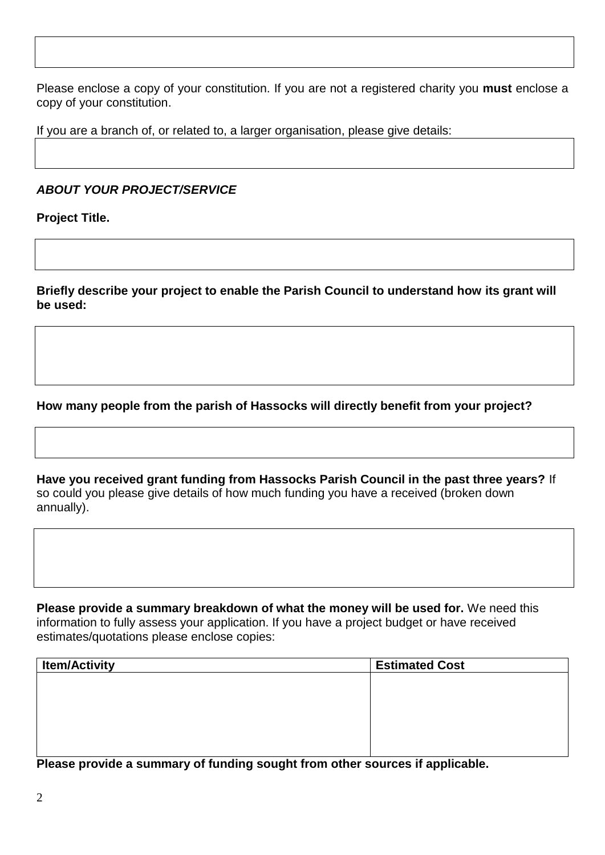Please enclose a copy of your constitution. If you are not a registered charity you **must** enclose a copy of your constitution.

If you are a branch of, or related to, a larger organisation, please give details:

*ABOUT YOUR PROJECT/SERVICE*

**Project Title.**

**Briefly describe your project to enable the Parish Council to understand how its grant will be used:**

**How many people from the parish of Hassocks will directly benefit from your project?**

**Have you received grant funding from Hassocks Parish Council in the past three years?** If so could you please give details of how much funding you have a received (broken down annually).

**Please provide a summary breakdown of what the money will be used for.** We need this information to fully assess your application. If you have a project budget or have received estimates/quotations please enclose copies:

| <b>Item/Activity</b> | <b>Estimated Cost</b> |
|----------------------|-----------------------|
|                      |                       |
|                      |                       |
|                      |                       |
|                      |                       |
|                      |                       |

**Please provide a summary of funding sought from other sources if applicable.**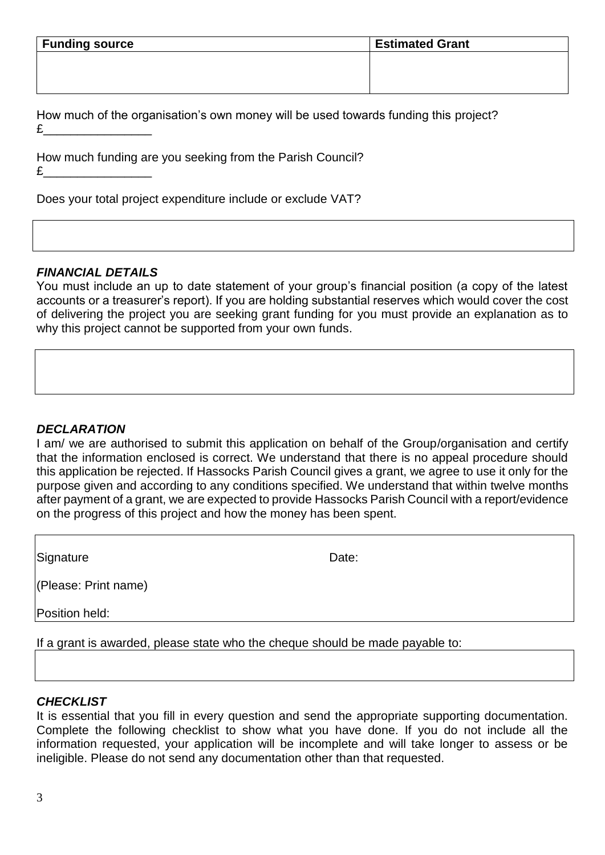| <b>Funding source</b> | <b>Estimated Grant</b> |
|-----------------------|------------------------|
|                       |                        |
|                       |                        |
|                       |                        |

How much of the organisation's own money will be used towards funding this project? £\_\_\_\_\_\_\_\_\_\_\_\_\_\_\_\_

How much funding are you seeking from the Parish Council? £\_\_\_\_\_\_\_\_\_\_\_\_\_\_\_\_

Does your total project expenditure include or exclude VAT?

### *FINANCIAL DETAILS*

You must include an up to date statement of your group's financial position (a copy of the latest accounts or a treasurer's report). If you are holding substantial reserves which would cover the cost of delivering the project you are seeking grant funding for you must provide an explanation as to why this project cannot be supported from your own funds.

#### *DECLARATION*

I am/ we are authorised to submit this application on behalf of the Group/organisation and certify that the information enclosed is correct. We understand that there is no appeal procedure should this application be rejected. If Hassocks Parish Council gives a grant, we agree to use it only for the purpose given and according to any conditions specified. We understand that within twelve months after payment of a grant, we are expected to provide Hassocks Parish Council with a report/evidence on the progress of this project and how the money has been spent.

Signature Date:

(Please: Print name)

Position held:

If a grant is awarded, please state who the cheque should be made payable to:

### *CHECKLIST*

It is essential that you fill in every question and send the appropriate supporting documentation. Complete the following checklist to show what you have done. If you do not include all the information requested, your application will be incomplete and will take longer to assess or be ineligible. Please do not send any documentation other than that requested.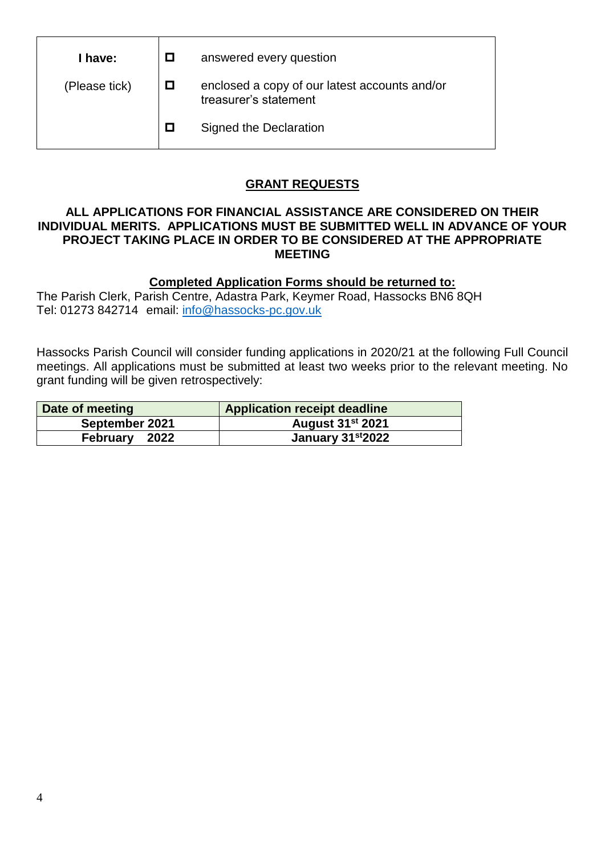| I have:       | answered every question                                                |
|---------------|------------------------------------------------------------------------|
| (Please tick) | enclosed a copy of our latest accounts and/or<br>treasurer's statement |
|               | Signed the Declaration                                                 |

## **GRANT REQUESTS**

### **ALL APPLICATIONS FOR FINANCIAL ASSISTANCE ARE CONSIDERED ON THEIR INDIVIDUAL MERITS. APPLICATIONS MUST BE SUBMITTED WELL IN ADVANCE OF YOUR PROJECT TAKING PLACE IN ORDER TO BE CONSIDERED AT THE APPROPRIATE MEETING**

## **Completed Application Forms should be returned to:**

The Parish Clerk, Parish Centre, Adastra Park, Keymer Road, Hassocks BN6 8QH Tel: 01273 842714 email: [info@hassocks-pc.gov.uk](file:///C:/Users/clerk/AppData/Local/Microsoft/Windows/Temporary%20Internet%20Files/Content.Outlook/HV5TFBKY/info@hassocks-pc.gov.uk)

Hassocks Parish Council will consider funding applications in 2020/21 at the following Full Council meetings. All applications must be submitted at least two weeks prior to the relevant meeting. No grant funding will be given retrospectively:

| Date of meeting | <b>Application receipt deadline</b> |
|-----------------|-------------------------------------|
| September 2021  | <b>August 31st 2021</b>             |
| February 2022   | January 31st2022                    |